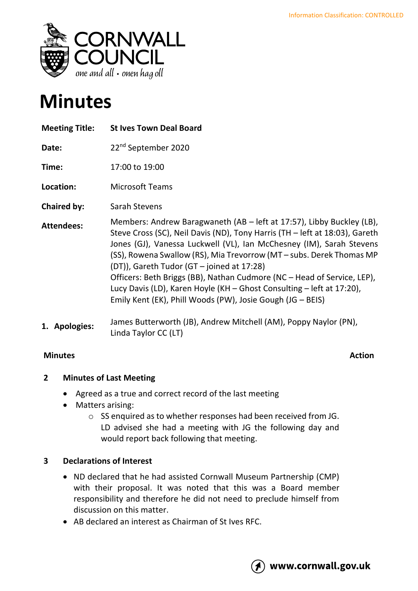

# **Minutes**

| <b>Meeting Title:</b> | <b>St Ives Town Deal Board</b>                                                                                                                                                                                                                                                                                                                                                                                                                                                                                                                                       |
|-----------------------|----------------------------------------------------------------------------------------------------------------------------------------------------------------------------------------------------------------------------------------------------------------------------------------------------------------------------------------------------------------------------------------------------------------------------------------------------------------------------------------------------------------------------------------------------------------------|
| Date:                 | 22 <sup>nd</sup> September 2020                                                                                                                                                                                                                                                                                                                                                                                                                                                                                                                                      |
| Time:                 | 17:00 to 19:00                                                                                                                                                                                                                                                                                                                                                                                                                                                                                                                                                       |
| Location:             | <b>Microsoft Teams</b>                                                                                                                                                                                                                                                                                                                                                                                                                                                                                                                                               |
| <b>Chaired by:</b>    | Sarah Stevens                                                                                                                                                                                                                                                                                                                                                                                                                                                                                                                                                        |
| <b>Attendees:</b>     | Members: Andrew Baragwaneth (AB - left at 17:57), Libby Buckley (LB),<br>Steve Cross (SC), Neil Davis (ND), Tony Harris (TH – left at 18:03), Gareth<br>Jones (GJ), Vanessa Luckwell (VL), Ian McChesney (IM), Sarah Stevens<br>(SS), Rowena Swallow (RS), Mia Trevorrow (MT – subs. Derek Thomas MP<br>(DT)), Gareth Tudor (GT – joined at 17:28)<br>Officers: Beth Briggs (BB), Nathan Cudmore (NC - Head of Service, LEP),<br>Lucy Davis (LD), Karen Hoyle (KH - Ghost Consulting - left at 17:20),<br>Emily Kent (EK), Phill Woods (PW), Josie Gough (JG - BEIS) |
| 1. Apologies:         | James Butterworth (JB), Andrew Mitchell (AM), Poppy Naylor (PN),<br>Linda Taylor CC (LT)                                                                                                                                                                                                                                                                                                                                                                                                                                                                             |

# **Minutes Action**

### **2 Minutes of Last Meeting**

- Agreed as a true and correct record of the last meeting
- Matters arising:
	- o SS enquired as to whether responses had been received from JG. LD advised she had a meeting with JG the following day and would report back following that meeting.

# **3 Declarations of Interest**

- ND declared that he had assisted Cornwall Museum Partnership (CMP) with their proposal. It was noted that this was a Board member responsibility and therefore he did not need to preclude himself from discussion on this matter.
- AB declared an interest as Chairman of St Ives RFC.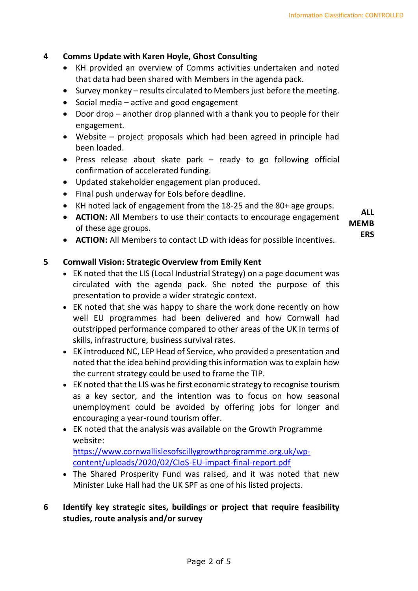#### **4 Comms Update with Karen Hoyle, Ghost Consulting**

- KH provided an overview of Comms activities undertaken and noted that data had been shared with Members in the agenda pack.
- Survey monkey results circulated to Members just before the meeting.
- Social media active and good engagement
- Door drop another drop planned with a thank you to people for their engagement.
- Website project proposals which had been agreed in principle had been loaded.
- Press release about skate park ready to go following official confirmation of accelerated funding.
- Updated stakeholder engagement plan produced.
- Final push underway for EoIs before deadline.
- KH noted lack of engagement from the 18-25 and the 80+ age groups.
- **ACTION:** All Members to use their contacts to encourage engagement of these age groups. **ALL**

**MEMB ERS**

• **ACTION:** All Members to contact LD with ideas for possible incentives.

#### **5 Cornwall Vision: Strategic Overview from Emily Kent**

- EK noted that the LIS (Local Industrial Strategy) on a page document was circulated with the agenda pack. She noted the purpose of this presentation to provide a wider strategic context.
- EK noted that she was happy to share the work done recently on how well EU programmes had been delivered and how Cornwall had outstripped performance compared to other areas of the UK in terms of skills, infrastructure, business survival rates.
- EK introduced NC, LEP Head of Service, who provided a presentation and noted that the idea behind providing this information was to explain how the current strategy could be used to frame the TIP.
- EK noted that the LIS was he first economic strategy to recognise tourism as a key sector, and the intention was to focus on how seasonal unemployment could be avoided by offering jobs for longer and encouraging a year-round tourism offer.
- EK noted that the analysis was available on the Growth Programme website:

[https://www.cornwallislesofscillygrowthprogramme.org.uk/wp](https://www.cornwallislesofscillygrowthprogramme.org.uk/wp-content/uploads/2020/02/CIoS-EU-impact-final-report.pdf)[content/uploads/2020/02/CIoS-EU-impact-final-report.pdf](https://www.cornwallislesofscillygrowthprogramme.org.uk/wp-content/uploads/2020/02/CIoS-EU-impact-final-report.pdf)

• The Shared Prosperity Fund was raised, and it was noted that new Minister Luke Hall had the UK SPF as one of his listed projects.

# **6 Identify key strategic sites, buildings or project that require feasibility studies, route analysis and/or survey**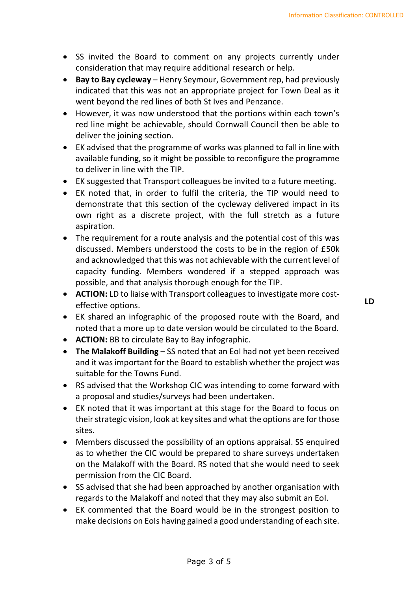- SS invited the Board to comment on any projects currently under consideration that may require additional research or help.
- **Bay to Bay cycleway** Henry Seymour, Government rep, had previously indicated that this was not an appropriate project for Town Deal as it went beyond the red lines of both St Ives and Penzance.
- However, it was now understood that the portions within each town's red line might be achievable, should Cornwall Council then be able to deliver the joining section.
- EK advised that the programme of works was planned to fall in line with available funding, so it might be possible to reconfigure the programme to deliver in line with the TIP.
- EK suggested that Transport colleagues be invited to a future meeting.
- EK noted that, in order to fulfil the criteria, the TIP would need to demonstrate that this section of the cycleway delivered impact in its own right as a discrete project, with the full stretch as a future aspiration.
- The requirement for a route analysis and the potential cost of this was discussed. Members understood the costs to be in the region of £50k and acknowledged that this was not achievable with the current level of capacity funding. Members wondered if a stepped approach was possible, and that analysis thorough enough for the TIP.
- **ACTION:** LD to liaise with Transport colleagues to investigate more costeffective options.
- EK shared an infographic of the proposed route with the Board, and noted that a more up to date version would be circulated to the Board.
- **ACTION:** BB to circulate Bay to Bay infographic.
- **The Malakoff Building** SS noted that an EoI had not yet been received and it was important for the Board to establish whether the project was suitable for the Towns Fund.
- RS advised that the Workshop CIC was intending to come forward with a proposal and studies/surveys had been undertaken.
- EK noted that it was important at this stage for the Board to focus on their strategic vision, look at key sites and what the options are for those sites.
- Members discussed the possibility of an options appraisal. SS enquired as to whether the CIC would be prepared to share surveys undertaken on the Malakoff with the Board. RS noted that she would need to seek permission from the CIC Board.
- SS advised that she had been approached by another organisation with regards to the Malakoff and noted that they may also submit an EoI.
- EK commented that the Board would be in the strongest position to make decisions on EoIs having gained a good understanding of each site.

**LD**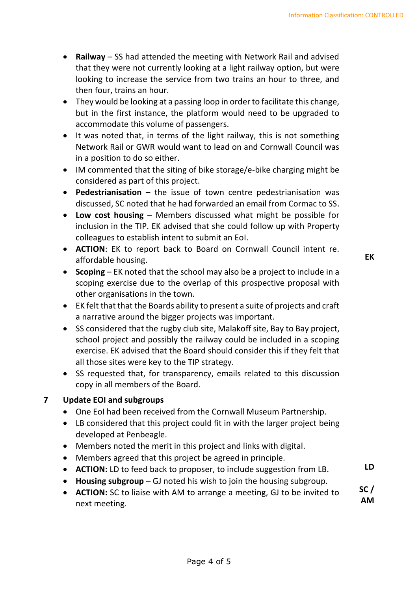- **Railway** SS had attended the meeting with Network Rail and advised that they were not currently looking at a light railway option, but were looking to increase the service from two trains an hour to three, and then four, trains an hour.
- They would be looking at a passing loop in order to facilitate this change, but in the first instance, the platform would need to be upgraded to accommodate this volume of passengers.
- It was noted that, in terms of the light railway, this is not something Network Rail or GWR would want to lead on and Cornwall Council was in a position to do so either.
- IM commented that the siting of bike storage/e-bike charging might be considered as part of this project.
- **Pedestrianisation** the issue of town centre pedestrianisation was discussed, SC noted that he had forwarded an email from Cormac to SS.
- **Low cost housing**  Members discussed what might be possible for inclusion in the TIP. EK advised that she could follow up with Property colleagues to establish intent to submit an EoI.
- **ACTION**: EK to report back to Board on Cornwall Council intent re. affordable housing.

**EK**

- **Scoping** EK noted that the school may also be a project to include in a scoping exercise due to the overlap of this prospective proposal with other organisations in the town.
- EK felt that that the Boards ability to present a suite of projects and craft a narrative around the bigger projects was important.
- SS considered that the rugby club site, Malakoff site, Bay to Bay project, school project and possibly the railway could be included in a scoping exercise. EK advised that the Board should consider this if they felt that all those sites were key to the TIP strategy.
- SS requested that, for transparency, emails related to this discussion copy in all members of the Board.

# **7 Update EOI and subgroups**

- One EoI had been received from the Cornwall Museum Partnership.
- LB considered that this project could fit in with the larger project being developed at Penbeagle.
- Members noted the merit in this project and links with digital.
- Members agreed that this project be agreed in principle.
- **ACTION:** LD to feed back to proposer, to include suggestion from LB. **LD**
- **Housing subgroup** GJ noted his wish to join the housing subgroup.
- **ACTION:** SC to liaise with AM to arrange a meeting, GJ to be invited to next meeting. **SC / AM**